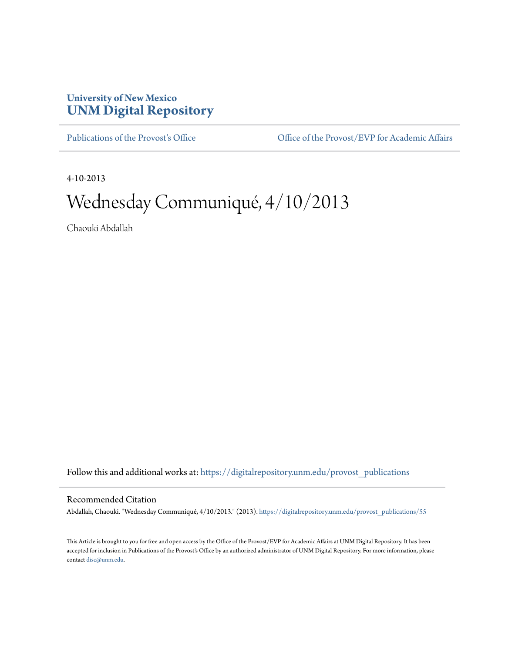## **University of New Mexico [UNM Digital Repository](https://digitalrepository.unm.edu?utm_source=digitalrepository.unm.edu%2Fprovost_publications%2F55&utm_medium=PDF&utm_campaign=PDFCoverPages)**

[Publications of the Provost's Office](https://digitalrepository.unm.edu/provost_publications?utm_source=digitalrepository.unm.edu%2Fprovost_publications%2F55&utm_medium=PDF&utm_campaign=PDFCoverPages) Office [Office of the Provost/EVP for Academic Affairs](https://digitalrepository.unm.edu/ofc_provost?utm_source=digitalrepository.unm.edu%2Fprovost_publications%2F55&utm_medium=PDF&utm_campaign=PDFCoverPages)

4-10-2013

# Wednesday Communiqué, 4/10/2013

Chaouki Abdallah

Follow this and additional works at: [https://digitalrepository.unm.edu/provost\\_publications](https://digitalrepository.unm.edu/provost_publications?utm_source=digitalrepository.unm.edu%2Fprovost_publications%2F55&utm_medium=PDF&utm_campaign=PDFCoverPages)

#### Recommended Citation

Abdallah, Chaouki. "Wednesday Communiqué, 4/10/2013." (2013). [https://digitalrepository.unm.edu/provost\\_publications/55](https://digitalrepository.unm.edu/provost_publications/55?utm_source=digitalrepository.unm.edu%2Fprovost_publications%2F55&utm_medium=PDF&utm_campaign=PDFCoverPages)

This Article is brought to you for free and open access by the Office of the Provost/EVP for Academic Affairs at UNM Digital Repository. It has been accepted for inclusion in Publications of the Provost's Office by an authorized administrator of UNM Digital Repository. For more information, please contact [disc@unm.edu.](mailto:disc@unm.edu)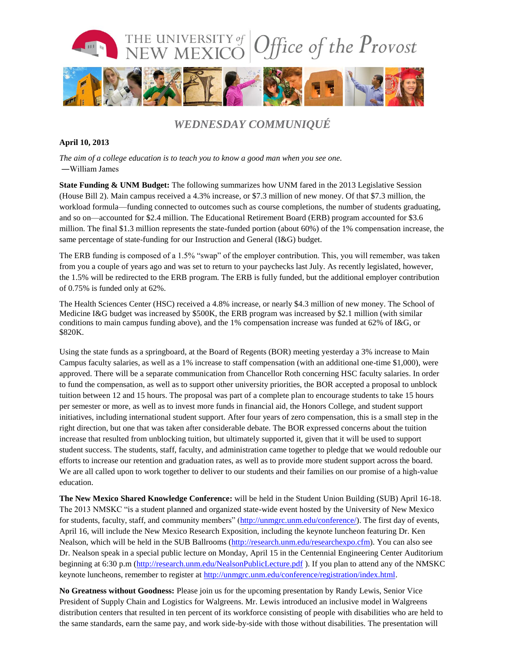

## *WEDNESDAY COMMUNIQUÉ*

### **April 10, 2013**

*The aim of a college education is to teach you to know a good man when you see one.* ―William James

**State Funding & UNM Budget:** The following summarizes how UNM fared in the 2013 Legislative Session (House Bill 2). Main campus received a 4.3% increase, or \$7.3 million of new money. Of that \$7.3 million, the workload formula—funding connected to outcomes such as course completions, the number of students graduating, and so on—accounted for \$2.4 million. The Educational Retirement Board (ERB) program accounted for \$3.6 million. The final \$1.3 million represents the state-funded portion (about 60%) of the 1% compensation increase, the same percentage of state-funding for our Instruction and General (I&G) budget.

The ERB funding is composed of a 1.5% "swap" of the employer contribution. This, you will remember, was taken from you a couple of years ago and was set to return to your paychecks last July. As recently legislated, however, the 1.5% will be redirected to the ERB program. The ERB is fully funded, but the additional employer contribution of 0.75% is funded only at 62%.

The Health Sciences Center (HSC) received a 4.8% increase, or nearly \$4.3 million of new money. The School of Medicine I&G budget was increased by \$500K, the ERB program was increased by \$2.1 million (with similar conditions to main campus funding above), and the 1% compensation increase was funded at 62% of I&G, or \$820K.

Using the state funds as a springboard, at the Board of Regents (BOR) meeting yesterday a 3% increase to Main Campus faculty salaries, as well as a 1% increase to staff compensation (with an additional one-time \$1,000), were approved. There will be a separate communication from Chancellor Roth concerning HSC faculty salaries. In order to fund the compensation, as well as to support other university priorities, the BOR accepted a proposal to unblock tuition between 12 and 15 hours. The proposal was part of a complete plan to encourage students to take 15 hours per semester or more, as well as to invest more funds in financial aid, the Honors College, and student support initiatives, including international student support. After four years of zero compensation, this is a small step in the right direction, but one that was taken after considerable debate. The BOR expressed concerns about the tuition increase that resulted from unblocking tuition, but ultimately supported it, given that it will be used to support student success. The students, staff, faculty, and administration came together to pledge that we would redouble our efforts to increase our retention and graduation rates, as well as to provide more student support across the board. We are all called upon to work together to deliver to our students and their families on our promise of a high-value education.

**The New Mexico Shared Knowledge Conference:** will be held in the Student Union Building (SUB) April 16-18. The 2013 NMSKC "is a student planned and organized state-wide event hosted by the University of New Mexico for students, faculty, staff, and community members" [\(http://unmgrc.unm.edu/conference/\)](http://unmgrc.unm.edu/conference/). The first day of events, April 16, will include the New Mexico Research Exposition, including the keynote luncheon featuring Dr. Ken Nealson, which will be held in the SUB Ballrooms [\(http://research.unm.edu/researchexpo.cfm\)](http://research.unm.edu/researchexpo.cfm). You can also see Dr. Nealson speak in a special public lecture on Monday, April 15 in the Centennial Engineering Center Auditorium beginning at 6:30 p.m [\(http://research.unm.edu/NealsonPublicLecture.pdf](http://research.unm.edu/NealsonPublicLecture.pdf)). If you plan to attend any of the NMSKC keynote luncheons, remember to register at [http://unmgrc.unm.edu/conference/registration/index.html.](http://unmgrc.unm.edu/conference/registration/index.html)

**No Greatness without Goodness:** Please join us for the upcoming presentation by Randy Lewis, Senior Vice President of Supply Chain and Logistics for Walgreens. Mr. Lewis introduced an inclusive model in Walgreens distribution centers that resulted in ten percent of its workforce consisting of people with disabilities who are held to the same standards, earn the same pay, and work side-by-side with those without disabilities. The presentation will